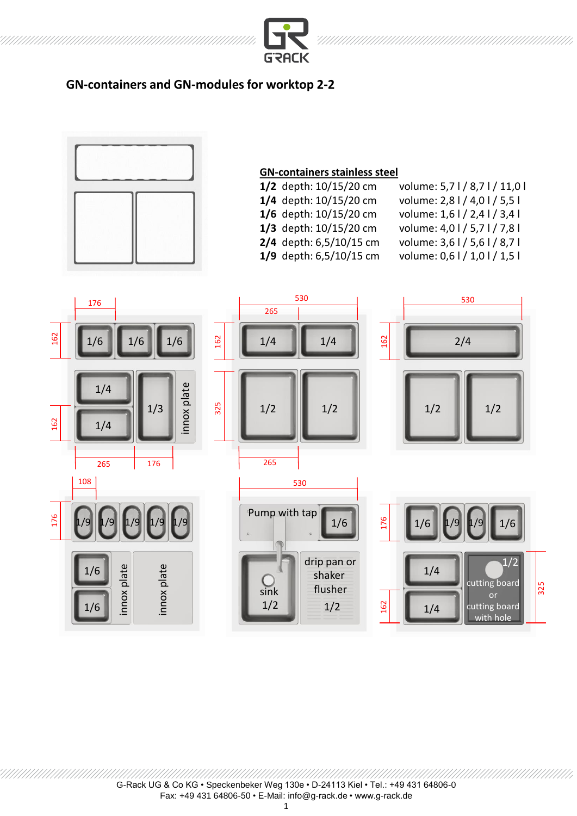

## **GN-containers and GN-modules for worktop 2-2**



## **GN-containers stainless steel**

| 1/2 depth: 10/15/20 cm  | volume: 5,71/8,71/11,01       |
|-------------------------|-------------------------------|
| 1/4 depth: 10/15/20 cm  | volume: 2,8 l / 4,0 l / 5,5 l |
| 1/6 depth: 10/15/20 cm  | volume: 1,6 l / 2,4 l / 3,4 l |
| 1/3 depth: 10/15/20 cm  | volume: 4,01/5,71/7,81        |
| 2/4 depth: 6,5/10/15 cm | volume: 3,61/5,61/8,71        |
| 1/9 depth: 6,5/10/15 cm | volume: 0,6 l / 1,0 l / 1,5 l |
|                         |                               |